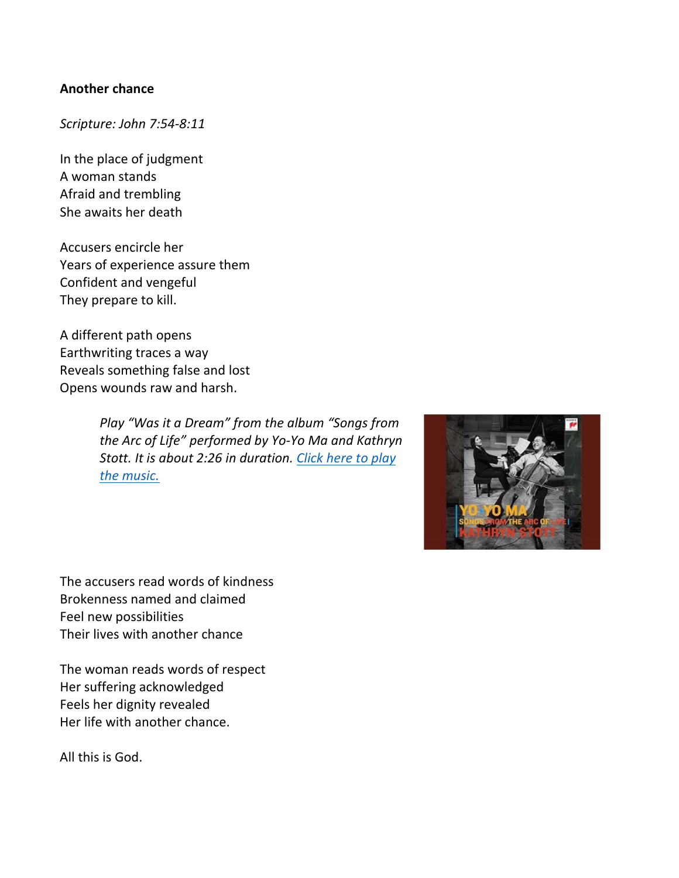### **Another chance**

# *Scripture: John 7:54-8:11*

In the place of judgment A woman stands Afraid and trembling She awaits her death

Accusers encircle her Years of experience assure them Confident and vengeful They prepare to kill.

A different path opens Earthwriting traces a way Reveals something false and lost Opens wounds raw and harsh.

> *Play "Was it a Dream" from the album "Songs from the Arc of Life" performed by Yo-Yo Ma and Kathryn Stott. It is about 2:26 in duration. [Click here to play](https://www.youtube.com/watch?v=TdVM-6ILous)  [the music.](https://www.youtube.com/watch?v=TdVM-6ILous)*



The accusers read words of kindness Brokenness named and claimed Feel new possibilities Their lives with another chance

The woman reads words of respect Her suffering acknowledged Feels her dignity revealed Her life with another chance.

All this is God.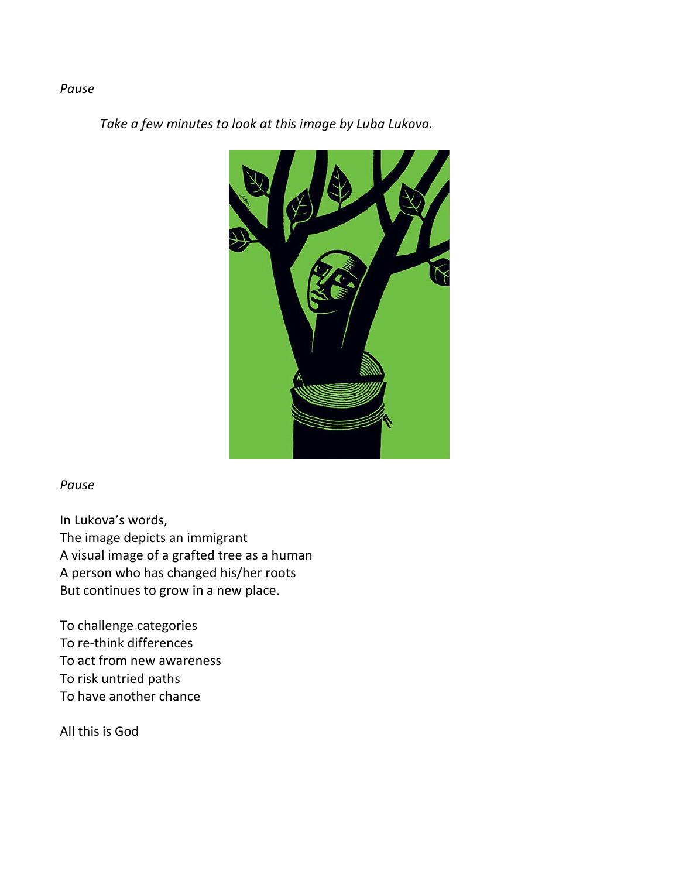### *Pause*

*Take a few minutes to look at this image by Luba Lukova.*



#### *Pause*

In Lukova's words, The image depicts an immigrant A visual image of a grafted tree as a human A person who has changed his/her roots But continues to grow in a new place.

To challenge categories To re-think differences To act from new awareness To risk untried paths To have another chance

All this is God